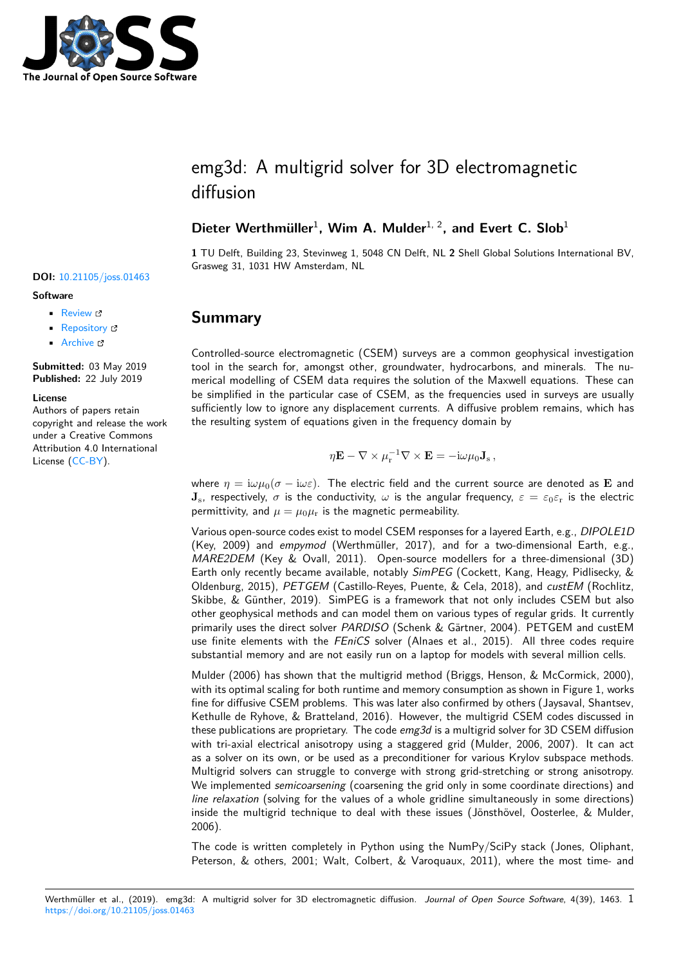

# emg3d: A multigrid solver for 3D electromagnetic diffusion

### Dieter Werthmüller<sup>1</sup>, Wim A. Mulder<sup>1, 2</sup>, and Evert C. Slob<sup>1</sup>

**1** TU Delft, Building 23, Stevinweg 1, 5048 CN Delft, NL **2** Shell Global Solutions International BV, Grasweg 31, 1031 HW Amsterdam, NL

## **Summary**

Controlled-source electromagnetic (CSEM) surveys are a common geophysical investigation tool in the search for, amongst other, groundwater, hydrocarbons, and minerals. The numerical modelling of CSEM data requires the solution of the Maxwell equations. These can be simplified in the particular case of CSEM, as the frequencies used in surveys are usually sufficiently low to ignore any displacement currents. A diffusive problem remains, which has the resulting system of equations given in the frequency domain by

$$
\eta \mathbf{E} - \nabla \times \mu_{\rm r}^{-1} \nabla \times \mathbf{E} = -{\rm i}\omega \mu_0 \mathbf{J}_{\rm s}\,,
$$

where  $\eta = i\omega\mu_0(\sigma - i\omega\varepsilon)$ . The electric field and the current source are denoted as **E** and **J**<sub>s</sub>, respectively,  $\sigma$  is the conductivity,  $\omega$  is the angular frequency,  $\varepsilon = \varepsilon_0 \varepsilon_r$  is the electric permittivity, and  $\mu = \mu_0 \mu_r$  is the magnetic permeability.

Various open-source codes exist to model CSEM responses for a layered Earth, e.g., *DIPOLE1D* (Key, 2009) and *empymod* (Werthmüller, 2017), and for a two-dimensional Earth, e.g., *MARE2DEM* (Key & Ovall, 2011). Open-source modellers for a three-dimensional (3D) Earth only recently became available, notably *SimPEG* (Cockett, Kang, Heagy, Pidlisecky, & Oldenburg, 2015), *PETGEM* (Castillo-Reyes, Puente, & Cela, 2018), and *custEM* (Rochlitz, Skibbe, & Günther, 2019). SimPEG is a framework that not only includes CSEM but also other geophysical methods and can model them on various types of regular grids. It currently primarily uses the direct solver *PARDISO* (Schenk & Gärtner, 2004). PETGEM and custEM use finite elements with the *FEniCS* solver (Alnaes et al., 2015). All three codes require substantial memory and are not easily run on a laptop for models with several million cells.

Mulder (2006) has shown that the multigrid method (Briggs, Henson, & McCormick, 2000), with its optimal scaling for both runtime and memory consumption as shown in Figure 1, works fine for diffusive CSEM problems. This was later also confirmed by others (Jaysaval, Shantsev, Kethulle de Ryhove, & Bratteland, 2016). However, the multigrid CSEM codes discussed in these publications are proprietary. The code *emg3d* is a multigrid solver for 3D CSEM diffusion with tri-axial electrical anisotropy using a staggered grid (Mulder, 2006, 2007). It can act as a solver on its own, or be used as a preconditioner for various Krylov subspace methods. Multigrid solvers can struggle to converge with strong grid-stretching or strong anisotropy. We implemented *semicoarsening* (coarsening the grid only in some coordinate directions) and *line relaxation* (solving for the values of a whole gridline simultaneously in some directions) inside the multigrid technique to deal with these issues (Jönsthövel, Oosterlee, & Mulder, 2006).

The code is written completely in Python using the NumPy/SciPy stack (Jones, Oliphant, Peterson, & others, 2001; Walt, Colbert, & Varoquaux, 2011), where the most time- and

#### **DOI:** 10.21105/joss.01463

#### **Software**

- Review L'
- [Repository](https://doi.org/10.21105/joss.01463) &
- Archive

**Subm[itted:](https://github.com/openjournals/joss-reviews/issues/1463)** 03 May 2019 **Published:** [22 Ju](https://github.com/empymod/emg3d)ly 2019

#### **Licen[se](https://doi.org/10.5281/zenodo.3339421)**

Authors of papers retain copyright and release the work under a Creative Commons Attribution 4.0 International License (CC-BY).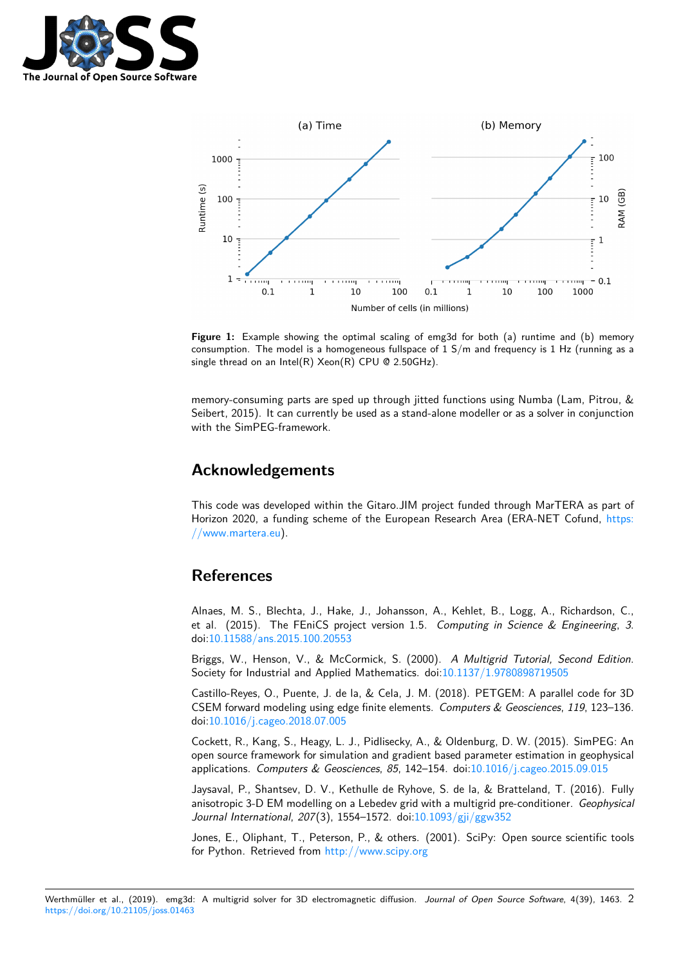



**Figure 1:** Example showing the optimal scaling of emg3d for both (a) runtime and (b) memory consumption. The model is a homogeneous fullspace of  $1 S/m$  and frequency is  $1 Hz$  (running as a single thread on an Intel $(R)$  Xeon $(R)$  CPU @ 2.50GHz).

memory-consuming parts are sped up through jitted functions using Numba (Lam, Pitrou, & Seibert, 2015). It can currently be used as a stand-alone modeller or as a solver in conjunction with the SimPEG-framework.

### **Acknowledgements**

This code was developed within the Gitaro.JIM project funded through MarTERA as part of Horizon 2020, a funding scheme of the European Research Area (ERA-NET Cofund, https: //www.martera.eu).

### **[References](https://www.martera.eu)**

Alnaes, M. S., Blechta, J., Hake, J., Johansson, A., Kehlet, B., Logg, A., Richardson, C., et al. (2015). The FEniCS project version 1.5. *Computing in Science & Engineering*, *3*. doi:10.11588/ans.2015.100.20553

Briggs, W., Henson, V., & McCormick, S. (2000). *A Multigrid Tutorial, Second Edition*. Society for Industrial and Applied Mathematics. doi:10.1137/1.9780898719505

Cas[tillo-Reyes, O., Puente, J. de l](https://doi.org/10.11588/ans.2015.100.20553)a, & Cela, J. M. (2018). PETGEM: A parallel code for 3D CSEM forward modeling using edge finite elements. *Computers & Geosciences*, *119*, 123–136. doi:10.1016/j.cageo.2018.07.005

Cockett, R., Kang, S., Heagy, L. J., Pidlisecky, A., & [Oldenburg, D. W. \(2015\).](https://doi.org/10.1137/1.9780898719505) SimPEG: An open source framework for simulation and gradient based parameter estimation in geophysical applications. *[Computers & Geosc](https://doi.org/10.1016/j.cageo.2018.07.005)iences*, *85*, 142–154. doi:10.1016/j.cageo.2015.09.015

Jaysaval, P., Shantsev, D. V., Kethulle de Ryhove, S. de la, & Bratteland, T. (2016). Fully anisotropic 3-D EM modelling on a Lebedev grid with a multigrid pre-conditioner. *Geophysical Journal International*, *207*(3), 1554–1572. doi:10.1093/gji/ggw352

Jones, E., Oliphant, T., Peterson, P., & others. (2001). [SciPy: Open source scientific](https://doi.org/10.1016/j.cageo.2015.09.015) tools for Python. Retrieved from http://www.scipy.org